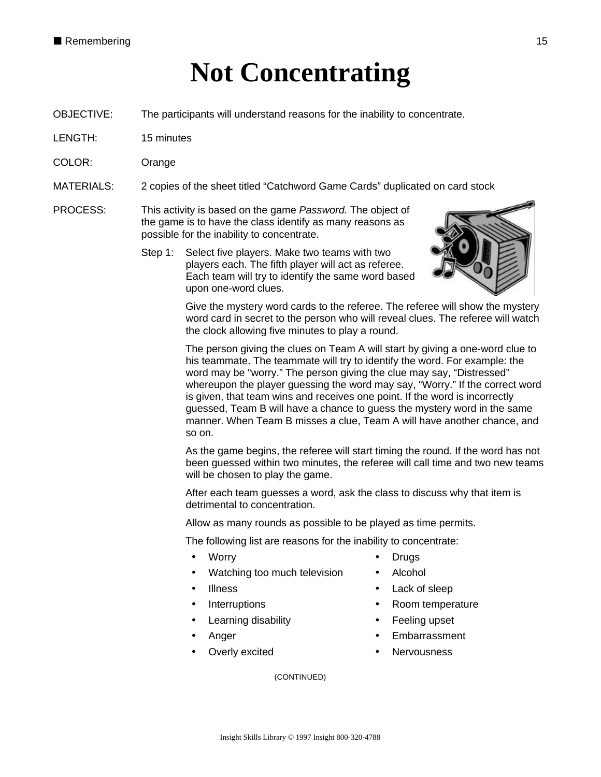## **Not Concentrating**

- OBJECTIVE: The participants will understand reasons for the inability to concentrate.
- LENGTH: 15 minutes
- COLOR: Orange
- MATERIALS: 2 copies of the sheet titled "Catchword Game Cards" duplicated on card stock
- PROCESS: This activity is based on the game *Password.* The object of the game is to have the class identify as many reasons as possible for the inability to concentrate.
	- Step 1: Select five players. Make two teams with two players each. The fifth player will act as referee. Each team will try to identify the same word based upon one-word clues.



Give the mystery word cards to the referee. The referee will show the mystery word card in secret to the person who will reveal clues. The referee will watch the clock allowing five minutes to play a round.

The person giving the clues on Team A will start by giving a one-word clue to his teammate. The teammate will try to identify the word. For example: the word may be "worry." The person giving the clue may say, "Distressed" whereupon the player guessing the word may say, "Worry." If the correct word is given, that team wins and receives one point. If the word is incorrectly guessed, Team B will have a chance to guess the mystery word in the same manner. When Team B misses a clue, Team A will have another chance, and so on.

As the game begins, the referee will start timing the round. If the word has not been guessed within two minutes, the referee will call time and two new teams will be chosen to play the game.

After each team guesses a word, ask the class to discuss why that item is detrimental to concentration.

Allow as many rounds as possible to be played as time permits.

The following list are reasons for the inability to concentrate:

- 
- Watching too much television Alcohol
- 
- 
- Learning disability **•** Feeling upset
- 
- 
- Worry  **Drugs** 
	-
- Illness Lack of sleep
- Interruptions **•** Room temperature
	-
- Anger **Embarrassment**
- Overly excited **•** Nervousness

(CONTINUED)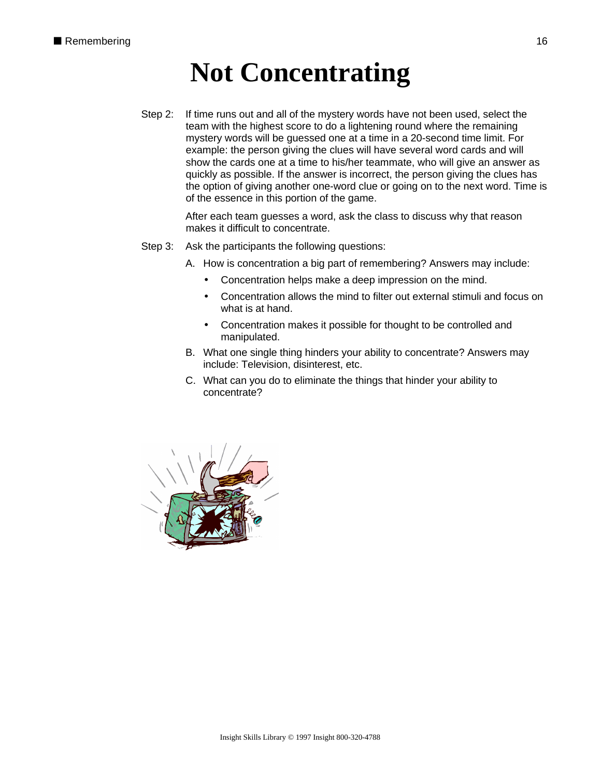## **Not Concentrating**

Step 2: If time runs out and all of the mystery words have not been used, select the team with the highest score to do a lightening round where the remaining mystery words will be guessed one at a time in a 20-second time limit. For example: the person giving the clues will have several word cards and will show the cards one at a time to his/her teammate, who will give an answer as quickly as possible. If the answer is incorrect, the person giving the clues has the option of giving another one-word clue or going on to the next word. Time is of the essence in this portion of the game.

> After each team guesses a word, ask the class to discuss why that reason makes it difficult to concentrate.

Step 3: Ask the participants the following questions:

A. How is concentration a big part of remembering? Answers may include:

- Concentration helps make a deep impression on the mind.
- Concentration allows the mind to filter out external stimuli and focus on what is at hand.
- Concentration makes it possible for thought to be controlled and manipulated.
- B. What one single thing hinders your ability to concentrate? Answers may include: Television, disinterest, etc.
- C. What can you do to eliminate the things that hinder your ability to concentrate?